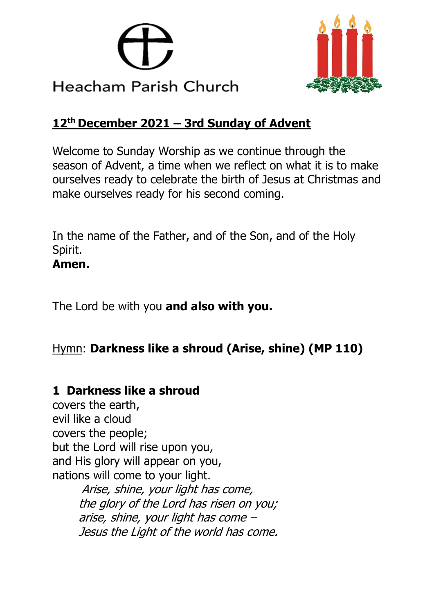



### **12th December 2021 – 3rd Sunday of Advent**

Welcome to Sunday Worship as we continue through the season of Advent, a time when we reflect on what it is to make ourselves ready to celebrate the birth of Jesus at Christmas and make ourselves ready for his second coming.

In the name of the Father, and of the Son, and of the Holy Spirit. **Amen.**

The Lord be with you **and also with you.**

# Hymn: **Darkness like a shroud (Arise, shine) (MP 110)**

### **1 Darkness like a shroud**

covers the earth, evil like a cloud covers the people; but the Lord will rise upon you, and His glory will appear on you, nations will come to your light. Arise, shine, your light has come, the glory of the Lord has risen on you; arise, shine, your light has come – Jesus the Light of the world has come.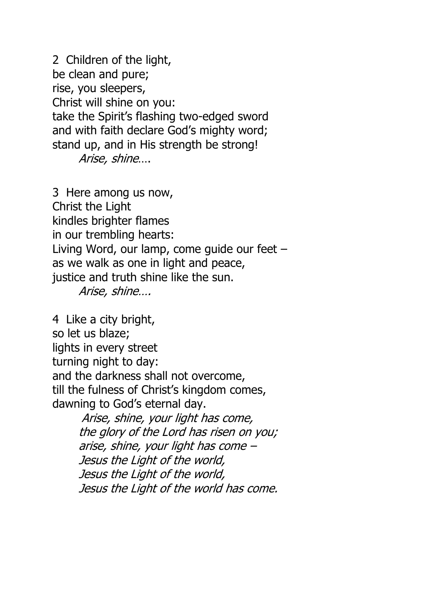2 Children of the light, be clean and pure; rise, you sleepers, Christ will shine on you: take the Spirit's flashing two-edged sword and with faith declare God's mighty word; stand up, and in His strength be strong! Arise, shine….

3 Here among us now, Christ the Light kindles brighter flames in our trembling hearts: Living Word, our lamp, come guide our feet – as we walk as one in light and peace, justice and truth shine like the sun. Arise, shine….

4 Like a city bright, so let us blaze; lights in every street turning night to day: and the darkness shall not overcome, till the fulness of Christ's kingdom comes, dawning to God's eternal day.

> Arise, shine, your light has come, the glory of the Lord has risen on you; arise, shine, your light has come – Jesus the Light of the world, Jesus the Light of the world, Jesus the Light of the world has come.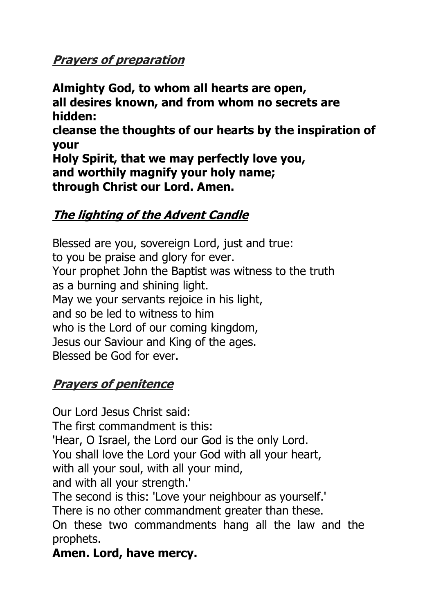# **Prayers of preparation**

**Almighty God, to whom all hearts are open, all desires known, and from whom no secrets are hidden: cleanse the thoughts of our hearts by the inspiration of your Holy Spirit, that we may perfectly love you, and worthily magnify your holy name; through Christ our Lord. Amen.**

### **The lighting of the Advent Candle**

Blessed are you, sovereign Lord, just and true: to you be praise and glory for ever. Your prophet John the Baptist was witness to the truth as a burning and shining light. May we your servants rejoice in his light, and so be led to witness to him who is the Lord of our coming kingdom, Jesus our Saviour and King of the ages. Blessed be God for ever.

# **Prayers of penitence**

Our Lord Jesus Christ said: The first commandment is this: 'Hear, O Israel, the Lord our God is the only Lord. You shall love the Lord your God with all your heart, with all your soul, with all your mind, and with all your strength.' The second is this: 'Love your neighbour as yourself.' There is no other commandment greater than these.

On these two commandments hang all the law and the prophets.

**Amen. Lord, have mercy.**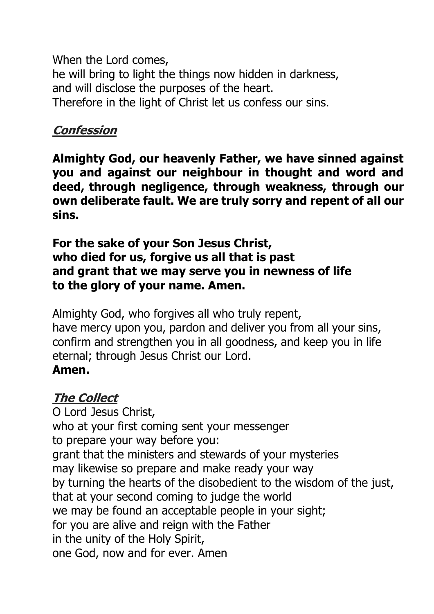When the Lord comes, he will bring to light the things now hidden in darkness, and will disclose the purposes of the heart. Therefore in the light of Christ let us confess our sins.

## **Confession**

**Almighty God, our heavenly Father, we have sinned against you and against our neighbour in thought and word and deed, through negligence, through weakness, through our own deliberate fault. We are truly sorry and repent of all our sins.**

#### **For the sake of your Son Jesus Christ, who died for us, forgive us all that is past and grant that we may serve you in newness of life to the glory of your name. Amen.**

Almighty God, who forgives all who truly repent, have mercy upon you, pardon and deliver you from all your sins, confirm and strengthen you in all goodness, and keep you in life eternal; through Jesus Christ our Lord. **Amen.**

#### **The Collect**

O Lord Jesus Christ, who at your first coming sent your messenger to prepare your way before you: grant that the ministers and stewards of your mysteries may likewise so prepare and make ready your way by turning the hearts of the disobedient to the wisdom of the just, that at your second coming to judge the world we may be found an acceptable people in your sight; for you are alive and reign with the Father in the unity of the Holy Spirit, one God, now and for ever. Amen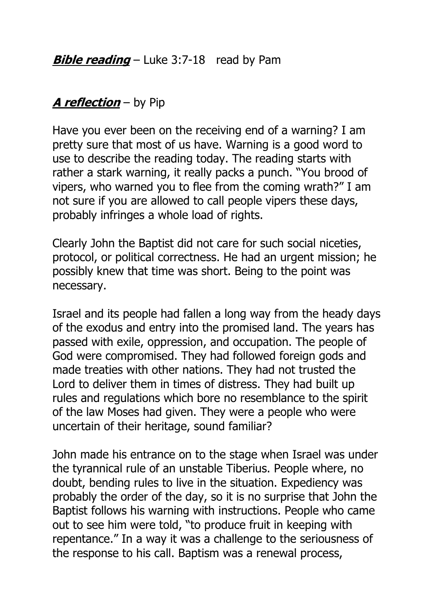# **A reflection** – by Pip

Have you ever been on the receiving end of a warning? I am pretty sure that most of us have. Warning is a good word to use to describe the reading today. The reading starts with rather a stark warning, it really packs a punch. "You brood of vipers, who warned you to flee from the coming wrath?" I am not sure if you are allowed to call people vipers these days, probably infringes a whole load of rights.

Clearly John the Baptist did not care for such social niceties, protocol, or political correctness. He had an urgent mission; he possibly knew that time was short. Being to the point was necessary.

Israel and its people had fallen a long way from the heady days of the exodus and entry into the promised land. The years has passed with exile, oppression, and occupation. The people of God were compromised. They had followed foreign gods and made treaties with other nations. They had not trusted the Lord to deliver them in times of distress. They had built up rules and regulations which bore no resemblance to the spirit of the law Moses had given. They were a people who were uncertain of their heritage, sound familiar?

John made his entrance on to the stage when Israel was under the tyrannical rule of an unstable Tiberius. People where, no doubt, bending rules to live in the situation. Expediency was probably the order of the day, so it is no surprise that John the Baptist follows his warning with instructions. People who came out to see him were told, "to produce fruit in keeping with repentance." In a way it was a challenge to the seriousness of the response to his call. Baptism was a renewal process,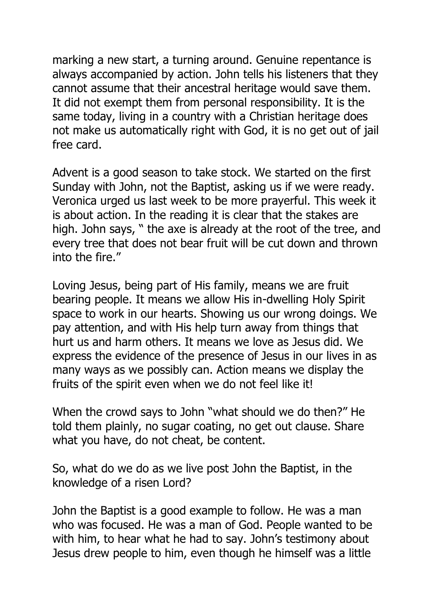marking a new start, a turning around. Genuine repentance is always accompanied by action. John tells his listeners that they cannot assume that their ancestral heritage would save them. It did not exempt them from personal responsibility. It is the same today, living in a country with a Christian heritage does not make us automatically right with God, it is no get out of jail free card.

Advent is a good season to take stock. We started on the first Sunday with John, not the Baptist, asking us if we were ready. Veronica urged us last week to be more prayerful. This week it is about action. In the reading it is clear that the stakes are high. John says, " the axe is already at the root of the tree, and every tree that does not bear fruit will be cut down and thrown into the fire."

Loving Jesus, being part of His family, means we are fruit bearing people. It means we allow His in-dwelling Holy Spirit space to work in our hearts. Showing us our wrong doings. We pay attention, and with His help turn away from things that hurt us and harm others. It means we love as Jesus did. We express the evidence of the presence of Jesus in our lives in as many ways as we possibly can. Action means we display the fruits of the spirit even when we do not feel like it!

When the crowd says to John "what should we do then?" He told them plainly, no sugar coating, no get out clause. Share what you have, do not cheat, be content.

So, what do we do as we live post John the Baptist, in the knowledge of a risen Lord?

John the Baptist is a good example to follow. He was a man who was focused. He was a man of God. People wanted to be with him, to hear what he had to say. John's testimony about Jesus drew people to him, even though he himself was a little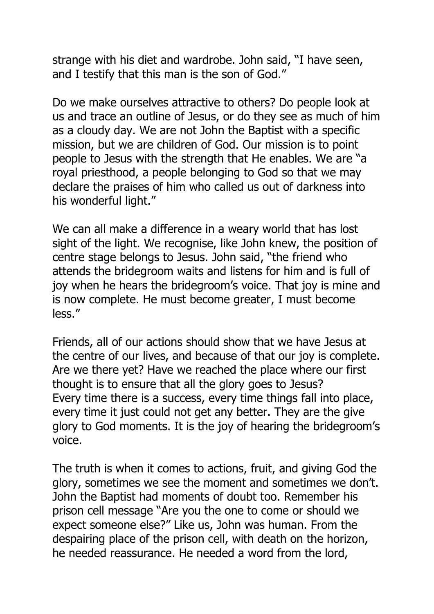strange with his diet and wardrobe. John said, "I have seen, and I testify that this man is the son of God."

Do we make ourselves attractive to others? Do people look at us and trace an outline of Jesus, or do they see as much of him as a cloudy day. We are not John the Baptist with a specific mission, but we are children of God. Our mission is to point people to Jesus with the strength that He enables. We are "a royal priesthood, a people belonging to God so that we may declare the praises of him who called us out of darkness into his wonderful light."

We can all make a difference in a weary world that has lost sight of the light. We recognise, like John knew, the position of centre stage belongs to Jesus. John said, "the friend who attends the bridegroom waits and listens for him and is full of joy when he hears the bridegroom's voice. That joy is mine and is now complete. He must become greater, I must become less."

Friends, all of our actions should show that we have Jesus at the centre of our lives, and because of that our joy is complete. Are we there yet? Have we reached the place where our first thought is to ensure that all the glory goes to Jesus? Every time there is a success, every time things fall into place, every time it just could not get any better. They are the give glory to God moments. It is the joy of hearing the bridegroom's voice.

The truth is when it comes to actions, fruit, and giving God the glory, sometimes we see the moment and sometimes we don't. John the Baptist had moments of doubt too. Remember his prison cell message "Are you the one to come or should we expect someone else?" Like us, John was human. From the despairing place of the prison cell, with death on the horizon, he needed reassurance. He needed a word from the lord,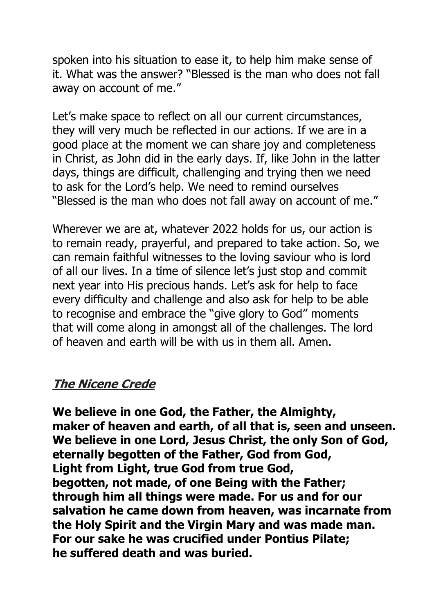spoken into his situation to ease it, to help him make sense of it. What was the answer? "Blessed is the man who does not fall away on account of me."

Let's make space to reflect on all our current circumstances, they will very much be reflected in our actions. If we are in a good place at the moment we can share joy and completeness in Christ, as John did in the early days. If, like John in the latter days, things are difficult, challenging and trying then we need to ask for the Lord's help. We need to remind ourselves "Blessed is the man who does not fall away on account of me."

Wherever we are at, whatever 2022 holds for us, our action is to remain ready, prayerful, and prepared to take action. So, we can remain faithful witnesses to the loving saviour who is lord of all our lives. In a time of silence let's just stop and commit next year into His precious hands. Let's ask for help to face every difficulty and challenge and also ask for help to be able to recognise and embrace the "give glory to God" moments that will come along in amongst all of the challenges. The lord of heaven and earth will be with us in them all. Amen.

#### **The Nicene Crede**

**We believe in one God, the Father, the Almighty, maker of heaven and earth, of all that is, seen and unseen. We believe in one Lord, Jesus Christ, the only Son of God, eternally begotten of the Father, God from God, Light from Light, true God from true God, begotten, not made, of one Being with the Father; through him all things were made. For us and for our salvation he came down from heaven, was incarnate from the Holy Spirit and the Virgin Mary and was made man. For our sake he was crucified under Pontius Pilate; he suffered death and was buried.**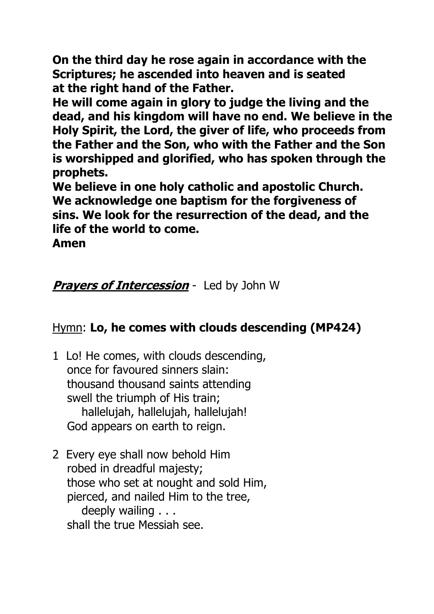**On the third day he rose again in accordance with the Scriptures; he ascended into heaven and is seated at the right hand of the Father.**

**He will come again in glory to judge the living and the dead, and his kingdom will have no end. We believe in the Holy Spirit, the Lord, the giver of life, who proceeds from the Father and the Son, who with the Father and the Son is worshipped and glorified, who has spoken through the prophets.**

**We believe in one holy catholic and apostolic Church. We acknowledge one baptism for the forgiveness of sins. We look for the resurrection of the dead, and the life of the world to come.**

**Amen**

### **Prayers of Intercession** - Led by John W

### Hymn: **Lo, he comes with clouds descending (MP424)**

- 1 Lo! He comes, with clouds descending, once for favoured sinners slain: thousand thousand saints attending swell the triumph of His train; hallelujah, hallelujah, hallelujah! God appears on earth to reign.
- 2 Every eye shall now behold Him robed in dreadful majesty; those who set at nought and sold Him, pierced, and nailed Him to the tree, deeply wailing . . . shall the true Messiah see.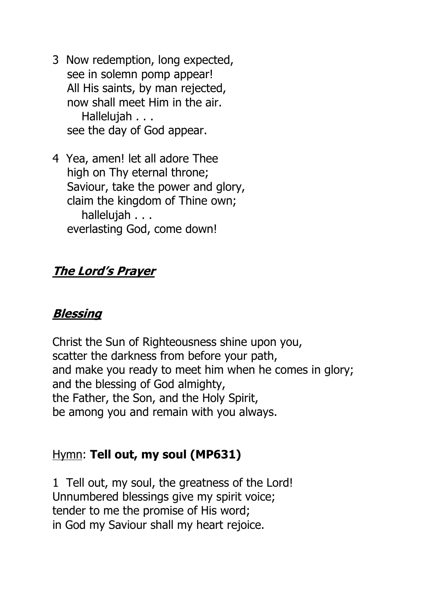- 3 Now redemption, long expected, see in solemn pomp appear! All His saints, by man rejected, now shall meet Him in the air. Hallelujah . . . see the day of God appear.
- 4 Yea, amen! let all adore Thee high on Thy eternal throne; Saviour, take the power and glory, claim the kingdom of Thine own; hallelujah . . . everlasting God, come down!

### **The Lord's Prayer**

#### **Blessing**

Christ the Sun of Righteousness shine upon you, scatter the darkness from before your path, and make you ready to meet him when he comes in glory; and the blessing of God almighty, the Father, the Son, and the Holy Spirit, be among you and remain with you always.

# Hymn: **Tell out, my soul (MP631)**

1 Tell out, my soul, the greatness of the Lord! Unnumbered blessings give my spirit voice; tender to me the promise of His word; in God my Saviour shall my heart rejoice.